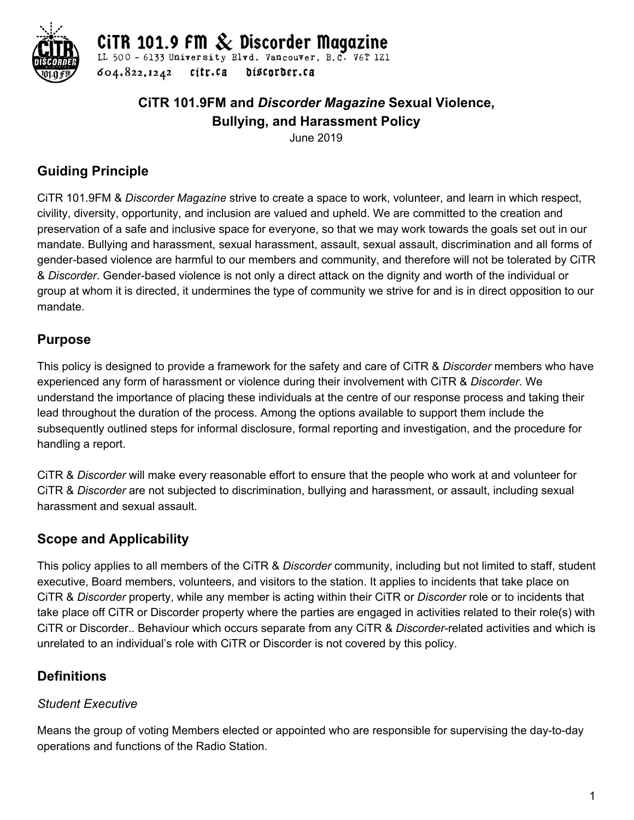

CITR 101.9 FM  $\&$  Discorder Magazine

LL 500 - 6133 University Blvd. Vancouver, B.C. V6T 1Z1 604.822,1242 cítr.ca discorder.ca

# **CiTR 101.9FM and** *Discorder Magazine* **Sexual Violence, Bullying, and Harassment Policy**

June 2019

# **Guiding Principle**

CiTR 101.9FM & *Discorder Magazine* strive to create a space to work, volunteer, and learn in which respect, civility, diversity, opportunity, and inclusion are valued and upheld. We are committed to the creation and preservation of a safe and inclusive space for everyone, so that we may work towards the goals set out in our mandate. Bullying and harassment, sexual harassment, assault, sexual assault, discrimination and all forms of gender-based violence are harmful to our members and community, and therefore will not be tolerated by CiTR & *Discorder*. Gender-based violence is not only a direct attack on the dignity and worth of the individual or group at whom it is directed, it undermines the type of community we strive for and is in direct opposition to our mandate.

# **Purpose**

This policy is designed to provide a framework for the safety and care of CiTR & *Discorder* members who have experienced any form of harassment or violence during their involvement with CiTR & *Discorder*. We understand the importance of placing these individuals at the centre of our response process and taking their lead throughout the duration of the process. Among the options available to support them include the subsequently outlined steps for informal disclosure, formal reporting and investigation, and the procedure for handling a report.

CiTR & *Discorder* will make every reasonable effort to ensure that the people who work at and volunteer for CiTR & *Discorder* are not subjected to discrimination, bullying and harassment, or assault, including sexual harassment and sexual assault.

# **Scope and Applicability**

This policy applies to all members of the CiTR & *Discorder* community, including but not limited to staff, student executive, Board members, volunteers, and visitors to the station. It applies to incidents that take place on CiTR & *Discorder* property, while any member is acting within their CiTR or *Discorder* role or to incidents that take place off CiTR or Discorder property where the parties are engaged in activities related to their role(s) with CiTR or Discorder.. Behaviour which occurs separate from any CiTR & *Discorder*-related activities and which is unrelated to an individual's role with CiTR or Discorder is not covered by this policy.

## **Definitions**

## *Student Executive*

Means the group of voting Members elected or appointed who are responsible for supervising the day-to-day operations and functions of the Radio Station.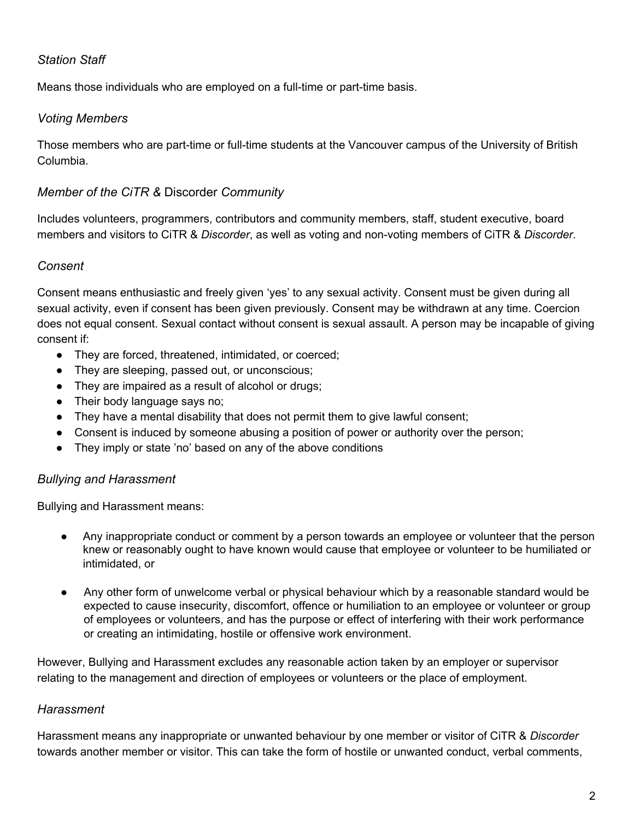### *Station Staff*

Means those individuals who are employed on a full-time or part-time basis.

#### *Voting Members*

Those members who are part-time or full-time students at the Vancouver campus of the University of British Columbia.

#### *Member of the CiTR &* Discorder *Community*

Includes volunteers, programmers, contributors and community members, staff, student executive, board members and visitors to CiTR & *Discorder*, as well as voting and non-voting members of CiTR & *Discorder*.

#### *Consent*

Consent means enthusiastic and freely given 'yes' to any sexual activity. Consent must be given during all sexual activity, even if consent has been given previously. Consent may be withdrawn at any time. Coercion does not equal consent. Sexual contact without consent is sexual assault. A person may be incapable of giving consent if:

- They are forced, threatened, intimidated, or coerced;
- They are sleeping, passed out, or unconscious;
- They are impaired as a result of alcohol or drugs;
- Their body language says no;
- They have a mental disability that does not permit them to give lawful consent;
- Consent is induced by someone abusing a position of power or authority over the person;
- They imply or state 'no' based on any of the above conditions

#### *Bullying and Harassment*

Bullying and Harassment means:

- Any inappropriate conduct or comment by a person towards an employee or volunteer that the person knew or reasonably ought to have known would cause that employee or volunteer to be humiliated or intimidated, or
- Any other form of unwelcome verbal or physical behaviour which by a reasonable standard would be expected to cause insecurity, discomfort, offence or humiliation to an employee or volunteer or group of employees or volunteers, and has the purpose or effect of interfering with their work performance or creating an intimidating, hostile or offensive work environment.

However, Bullying and Harassment excludes any reasonable action taken by an employer or supervisor relating to the management and direction of employees or volunteers or the place of employment.

#### *Harassment*

Harassment means any inappropriate or unwanted behaviour by one member or visitor of CiTR & *Discorder* towards another member or visitor. This can take the form of hostile or unwanted conduct, verbal comments,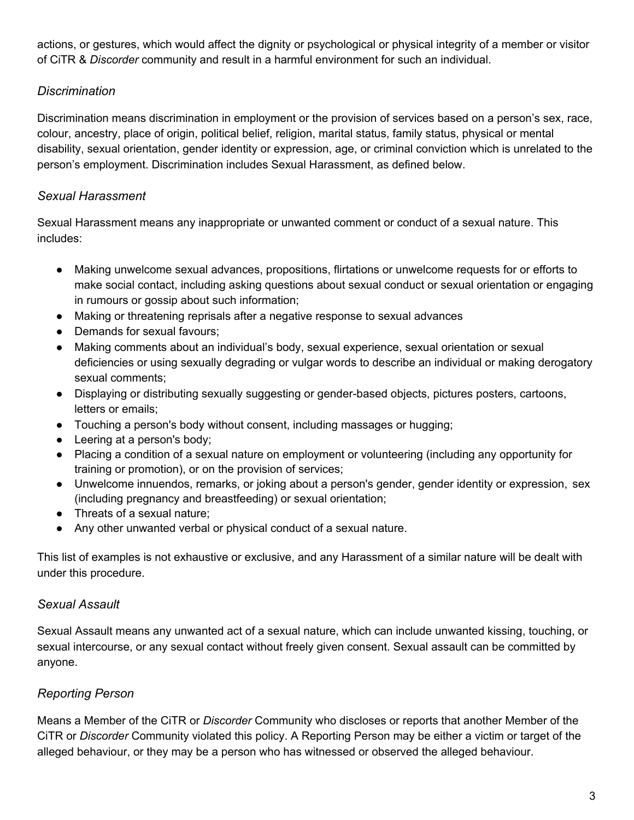actions, or gestures, which would affect the dignity or psychological or physical integrity of a member or visitor of CiTR & *Discorder* community and result in a harmful environment for such an individual.

### *Discrimination*

Discrimination means discrimination in employment or the provision of services based on a person's sex, race, colour, ancestry, place of origin, political belief, religion, marital status, family status, physical or mental disability, sexual orientation, gender identity or expression, age, or criminal conviction which is unrelated to the person's employment. Discrimination includes Sexual Harassment, as defined below.

## *Sexual Harassment*

Sexual Harassment means any inappropriate or unwanted comment or conduct of a sexual nature. This includes:

- Making unwelcome sexual advances, propositions, flirtations or unwelcome requests for or efforts to make social contact, including asking questions about sexual conduct or sexual orientation or engaging in rumours or gossip about such information;
- Making or threatening reprisals after a negative response to sexual advances
- Demands for sexual favours:
- Making comments about an individual's body, sexual experience, sexual orientation or sexual deficiencies or using sexually degrading or vulgar words to describe an individual or making derogatory sexual comments;
- Displaying or distributing sexually suggesting or gender-based objects, pictures posters, cartoons, letters or emails;
- Touching a person's body without consent, including massages or hugging;
- Leering at a person's body;
- Placing a condition of a sexual nature on employment or volunteering (including any opportunity for training or promotion), or on the provision of services;
- Unwelcome innuendos, remarks, or joking about a person's gender, gender identity or expression, sex (including pregnancy and breastfeeding) or sexual orientation;
- Threats of a sexual nature;
- Any other unwanted verbal or physical conduct of a sexual nature.

This list of examples is not exhaustive or exclusive, and any Harassment of a similar nature will be dealt with under this procedure.

### *Sexual Assault*

Sexual Assault means any unwanted act of a sexual nature, which can include unwanted kissing, touching, or sexual intercourse, or any sexual contact without freely given consent. Sexual assault can be committed by anyone.

## *Reporting Person*

Means a Member of the CiTR or *Discorder* Community who discloses or reports that another Member of the CiTR or *Discorder* Community violated this policy. A Reporting Person may be either a victim or target of the alleged behaviour, or they may be a person who has witnessed or observed the alleged behaviour.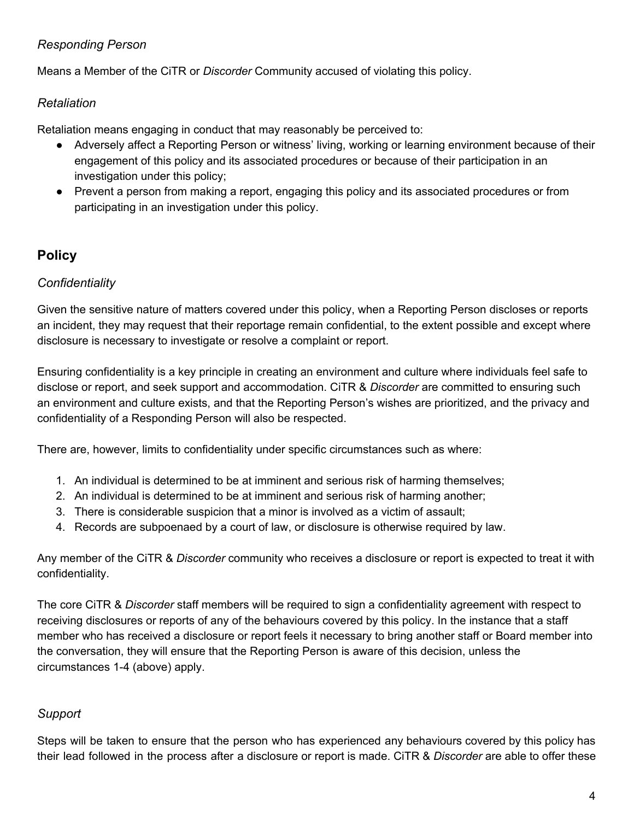## *Responding Person*

Means a Member of the CiTR or *Discorder* Community accused of violating this policy.

### *Retaliation*

Retaliation means engaging in conduct that may reasonably be perceived to:

- Adversely affect a Reporting Person or witness' living, working or learning environment because of their engagement of this policy and its associated procedures or because of their participation in an investigation under this policy;
- Prevent a person from making a report, engaging this policy and its associated procedures or from participating in an investigation under this policy.

# **Policy**

## *Confidentiality*

Given the sensitive nature of matters covered under this policy, when a Reporting Person discloses or reports an incident, they may request that their reportage remain confidential, to the extent possible and except where disclosure is necessary to investigate or resolve a complaint or report.

Ensuring confidentiality is a key principle in creating an environment and culture where individuals feel safe to disclose or report, and seek support and accommodation. CiTR & *Discorder* are committed to ensuring such an environment and culture exists, and that the Reporting Person's wishes are prioritized, and the privacy and confidentiality of a Responding Person will also be respected.

There are, however, limits to confidentiality under specific circumstances such as where:

- 1. An individual is determined to be at imminent and serious risk of harming themselves;
- 2. An individual is determined to be at imminent and serious risk of harming another;
- 3. There is considerable suspicion that a minor is involved as a victim of assault;
- 4. Records are subpoenaed by a court of law, or disclosure is otherwise required by law.

Any member of the CiTR & *Discorder* community who receives a disclosure or report is expected to treat it with confidentiality.

The core CiTR & *Discorder* staff members will be required to sign a confidentiality agreement with respect to receiving disclosures or reports of any of the behaviours covered by this policy. In the instance that a staff member who has received a disclosure or report feels it necessary to bring another staff or Board member into the conversation, they will ensure that the Reporting Person is aware of this decision, unless the circumstances 1-4 (above) apply.

## *Support*

Steps will be taken to ensure that the person who has experienced any behaviours covered by this policy has their lead followed in the process after a disclosure or report is made. CiTR & *Discorder* are able to offer these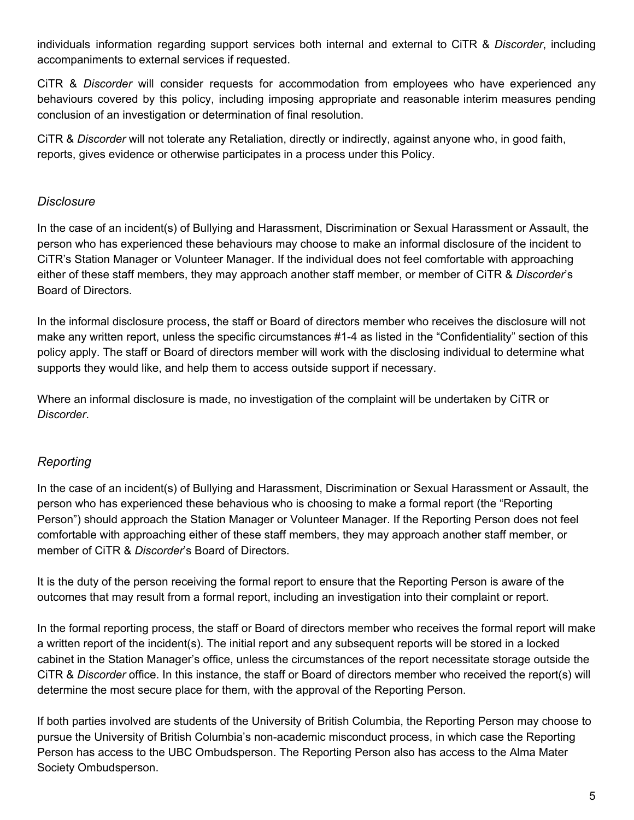individuals information regarding support services both internal and external to CiTR & *Discorder*, including accompaniments to external services if requested.

CiTR & *Discorder* will consider requests for accommodation from employees who have experienced any behaviours covered by this policy, including imposing appropriate and reasonable interim measures pending conclusion of an investigation or determination of final resolution.

CiTR & *Discorder* will not tolerate any Retaliation, directly or indirectly, against anyone who, in good faith, reports, gives evidence or otherwise participates in a process under this Policy.

#### *Disclosure*

In the case of an incident(s) of Bullying and Harassment, Discrimination or Sexual Harassment or Assault, the person who has experienced these behaviours may choose to make an informal disclosure of the incident to CiTR's Station Manager or Volunteer Manager. If the individual does not feel comfortable with approaching either of these staff members, they may approach another staff member, or member of CiTR & *Discorder*'s Board of Directors.

In the informal disclosure process, the staff or Board of directors member who receives the disclosure will not make any written report, unless the specific circumstances #1-4 as listed in the "Confidentiality" section of this policy apply. The staff or Board of directors member will work with the disclosing individual to determine what supports they would like, and help them to access outside support if necessary.

Where an informal disclosure is made, no investigation of the complaint will be undertaken by CiTR or *Discorder*.

### *Reporting*

In the case of an incident(s) of Bullying and Harassment, Discrimination or Sexual Harassment or Assault, the person who has experienced these behavious who is choosing to make a formal report (the "Reporting Person") should approach the Station Manager or Volunteer Manager. If the Reporting Person does not feel comfortable with approaching either of these staff members, they may approach another staff member, or member of CiTR & *Discorder*'s Board of Directors.

It is the duty of the person receiving the formal report to ensure that the Reporting Person is aware of the outcomes that may result from a formal report, including an investigation into their complaint or report.

In the formal reporting process, the staff or Board of directors member who receives the formal report will make a written report of the incident(s). The initial report and any subsequent reports will be stored in a locked cabinet in the Station Manager's office, unless the circumstances of the report necessitate storage outside the CiTR & *Discorder* office. In this instance, the staff or Board of directors member who received the report(s) will determine the most secure place for them, with the approval of the Reporting Person.

If both parties involved are students of the University of British Columbia, the Reporting Person may choose to pursue the University of British Columbia's non-academic misconduct process, in which case the Reporting Person has access to the UBC Ombudsperson. The Reporting Person also has access to the Alma Mater Society Ombudsperson.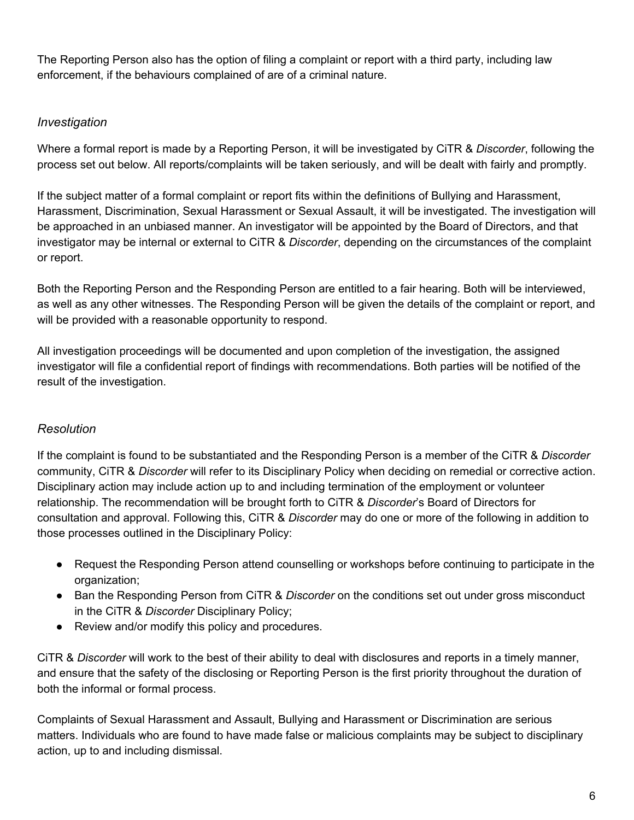The Reporting Person also has the option of filing a complaint or report with a third party, including law enforcement, if the behaviours complained of are of a criminal nature.

## *Investigation*

Where a formal report is made by a Reporting Person, it will be investigated by CiTR & *Discorder*, following the process set out below. All reports/complaints will be taken seriously, and will be dealt with fairly and promptly.

If the subject matter of a formal complaint or report fits within the definitions of Bullying and Harassment, Harassment, Discrimination, Sexual Harassment or Sexual Assault, it will be investigated. The investigation will be approached in an unbiased manner. An investigator will be appointed by the Board of Directors, and that investigator may be internal or external to CiTR & *Discorder*, depending on the circumstances of the complaint or report.

Both the Reporting Person and the Responding Person are entitled to a fair hearing. Both will be interviewed, as well as any other witnesses. The Responding Person will be given the details of the complaint or report, and will be provided with a reasonable opportunity to respond.

All investigation proceedings will be documented and upon completion of the investigation, the assigned investigator will file a confidential report of findings with recommendations. Both parties will be notified of the result of the investigation.

### *Resolution*

If the complaint is found to be substantiated and the Responding Person is a member of the CiTR & *Discorder* community, CiTR & *Discorder* will refer to its Disciplinary Policy when deciding on remedial or corrective action. Disciplinary action may include action up to and including termination of the employment or volunteer relationship. The recommendation will be brought forth to CiTR & *Discorder*'s Board of Directors for consultation and approval. Following this, CiTR & *Discorder* may do one or more of the following in addition to those processes outlined in the Disciplinary Policy:

- Request the Responding Person attend counselling or workshops before continuing to participate in the organization;
- Ban the Responding Person from CiTR & *Discorder* on the conditions set out under gross misconduct in the CiTR & *Discorder* Disciplinary Policy;
- Review and/or modify this policy and procedures.

CiTR & *Discorder* will work to the best of their ability to deal with disclosures and reports in a timely manner, and ensure that the safety of the disclosing or Reporting Person is the first priority throughout the duration of both the informal or formal process.

Complaints of Sexual Harassment and Assault, Bullying and Harassment or Discrimination are serious matters. Individuals who are found to have made false or malicious complaints may be subject to disciplinary action, up to and including dismissal.